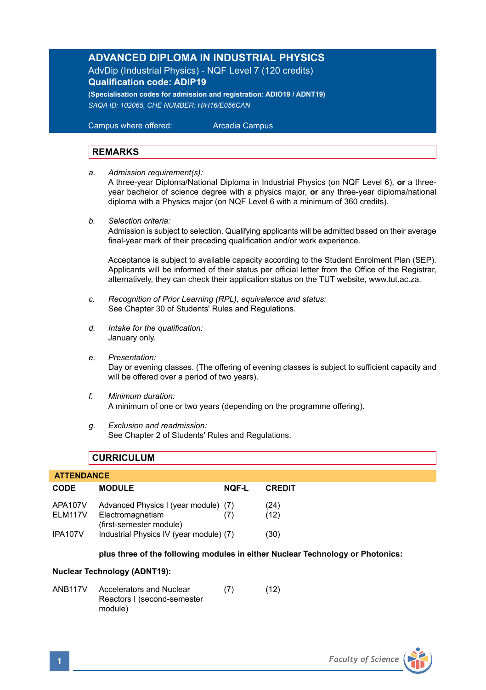## **ADVANCED DIPLOMA IN INDUSTRIAL PHYSICS**

AdvDip (Industrial Physics) - NQF Level 7 (120 credits) **Qualification code: ADIP19** 

**(Specialisation codes for admission and registration: ADIO19 / ADNT19)** *SAQA ID: 102065, CHE NUMBER: H/H16/E056CAN* 

 Campus where offered: Arcadia Campus

### **REMARKS**

*a. Admission requirement(s):* 

A three-year Diploma/National Diploma in Industrial Physics (on NQF Level 6), **or** a threeyear bachelor of science degree with a physics major, **or** any three-year diploma/national diploma with a Physics major (on NQF Level 6 with a minimum of 360 credits).

*b. Selection criteria:*

Admission is subject to selection. Qualifying applicants will be admitted based on their average final-year mark of their preceding qualification and/or work experience.

Acceptance is subject to available capacity according to the Student Enrolment Plan (SEP). Applicants will be informed of their status per official letter from the Office of the Registrar, alternatively, they can check their application status on the TUT website, www.tut.ac.za.

- *c. Recognition of Prior Learning (RPL), equivalence and status:* See Chapter 30 of Students' Rules and Regulations.
- *d. Intake for the qualification:* January only.
- *e. Presentation:* Day or evening classes. (The offering of evening classes is subject to sufficient capacity and will be offered over a period of two years).
- *f. Minimum duration:* A minimum of one or two years (depending on the programme offering).
- *g. Exclusion and readmission:* See Chapter 2 of Students' Rules and Regulations.

## **CURRICULUM**

| <b>ATTENDANCE</b>         |                                                                                     |              |               |  |  |  |
|---------------------------|-------------------------------------------------------------------------------------|--------------|---------------|--|--|--|
| <b>CODE</b>               | <b>MODULE</b>                                                                       | <b>NQF-L</b> | <b>CREDIT</b> |  |  |  |
| APA107V<br><b>FIM117V</b> | Advanced Physics I (year module) (7)<br>Electromagnetism<br>(first-semester module) | (7)          | (24)<br>(12)  |  |  |  |
| IPA107V                   | Industrial Physics IV (year module) (7)                                             |              | (30)          |  |  |  |

### **plus three of the following modules in either Nuclear Technology or Photonics:**

### **Nuclear Technology (ADNT19):**

| ANB117V | Accelerators and Nuclear    | (7) | (12) |
|---------|-----------------------------|-----|------|
|         | Reactors I (second-semester |     |      |
|         | module)                     |     |      |

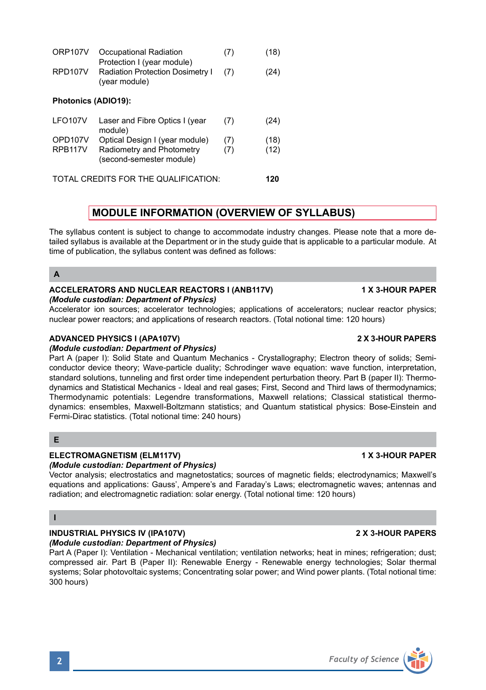ORP107V Occupational Radiation (7) (18) Protection I (year module) RPD107V Radiation Protection Dosimetry | (7) (24) (year module) **Photonics (ADIO19):**

| LFO <sub>107</sub> V           | Laser and Fibre Optics I (year<br>module)                                               | (7)        | (24)         |
|--------------------------------|-----------------------------------------------------------------------------------------|------------|--------------|
| OPD107V<br>RPB <sub>117V</sub> | Optical Design I (year module)<br>Radiometry and Photometry<br>(second-semester module) | (7)<br>(7) | (18)<br>(12) |
|                                | TOTAL CREDITS FOR THE QUALIFICATION:                                                    |            | 120          |

# **MODULE INFORMATION (OVERVIEW OF SYLLABUS)**

The syllabus content is subject to change to accommodate industry changes. Please note that a more detailed syllabus is available at the Department or in the study guide that is applicable to a particular module. At time of publication, the syllabus content was defined as follows:

### **A**

### **ACCELERATORS AND NUCLEAR REACTORS I (ANB117V) 1 X 3-HOUR PAPER** *(Module custodian: Department of Physics)*

Accelerator ion sources; accelerator technologies; applications of accelerators; nuclear reactor physics; nuclear power reactors; and applications of research reactors. (Total notional time: 120 hours)

### **ADVANCED PHYSICS I (APA107V) 2 X 3-HOUR PAPERS**

### *(Module custodian: Department of Physics)*

Part A (paper I): Solid State and Quantum Mechanics - Crystallography; Electron theory of solids; Semiconductor device theory; Wave-particle duality; Schrodinger wave equation: wave function, interpretation, standard solutions, tunneling and first order time independent perturbation theory. Part B (paper II): Thermodynamics and Statistical Mechanics - Ideal and real gases; First, Second and Third laws of thermodynamics; Thermodynamic potentials: Legendre transformations, Maxwell relations; Classical statistical thermodynamics: ensembles, Maxwell-Boltzmann statistics; and Quantum statistical physics: Bose-Einstein and Fermi-Dirac statistics. (Total notional time: 240 hours)

### **E**

### **ELECTROMAGNETISM (ELM117V) 1 X 3-HOUR PAPER**

### *(Module custodian: Department of Physics)*

Vector analysis; electrostatics and magnetostatics; sources of magnetic fields; electrodynamics; Maxwell's equations and applications: Gauss', Ampere's and Faraday's Laws; electromagnetic waves; antennas and radiation; and electromagnetic radiation: solar energy. (Total notional time: 120 hours)

### **I**

# **INDUSTRIAL PHYSICS IV (IPA107V) 2 X 3-HOUR PAPERS**

*(Module custodian: Department of Physics)* Part A (Paper I): Ventilation - Mechanical ventilation; ventilation networks; heat in mines; refrigeration; dust; compressed air. Part B (Paper II): Renewable Energy - Renewable energy technologies; Solar thermal systems; Solar photovoltaic systems; Concentrating solar power; and Wind power plants. (Total notional time: 300 hours)